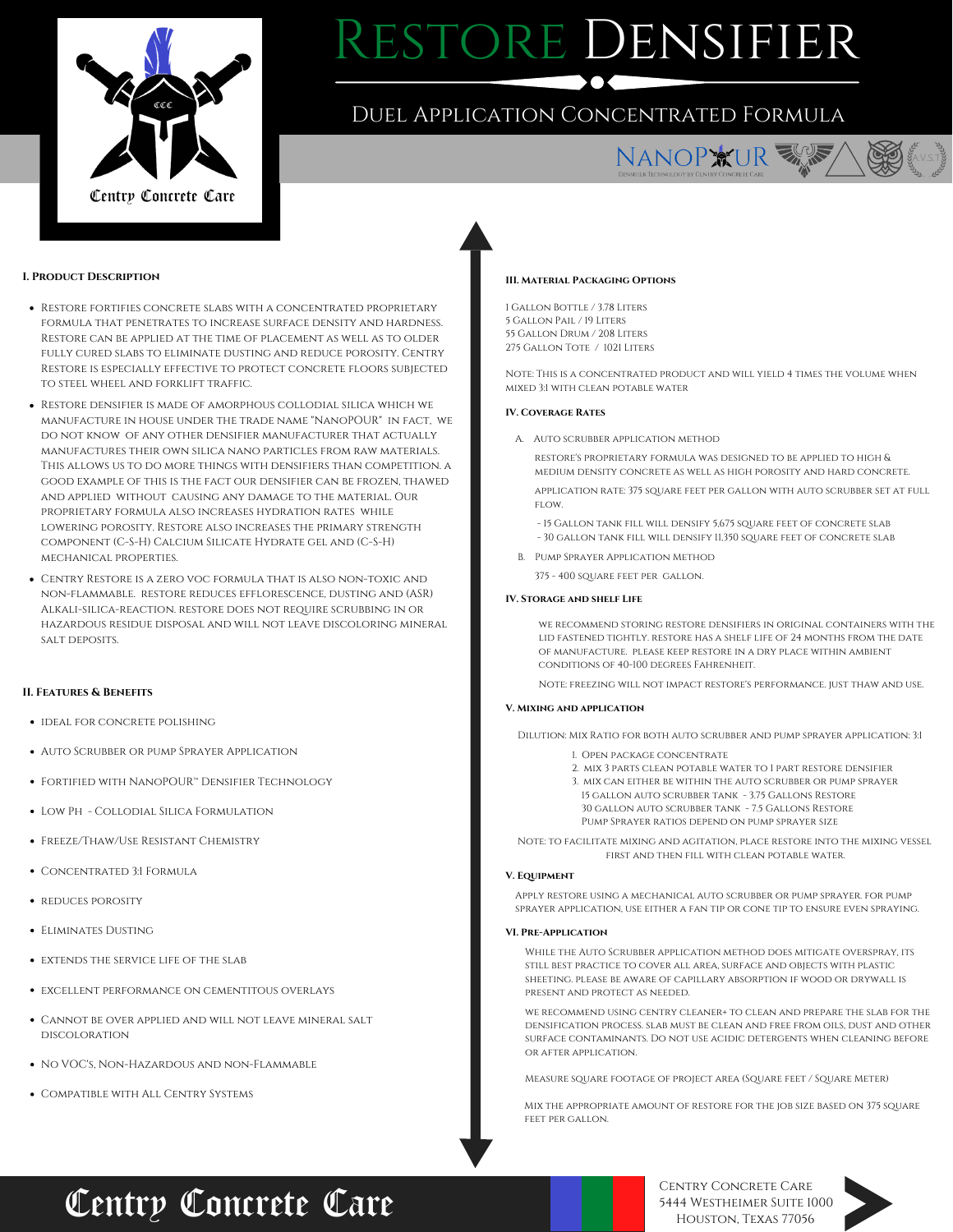

# Restore Densifier

### Duel Application Concentrated Formula



### **I. Product Description**

- Restore fortifies concrete slabs with a concentrated proprietary formula that penetrates to increase surface density and hardness. Restore can be applied at the time of placement as well as to older fully cured slabs to eliminate dusting and reduce porosity. Centry Restore is especially effective to protect concrete floors subjected to steel wheel and forklift traffic.
- Restore densifier is made of amorphous collodial silica which we manufacture in house under the trade name "NanoPOUR" in fact, we do not know of any other densifier manufacturer that actually manufactures their own silica nano particles from raw materials. This allows us to do more things with densifiers than competition. a good example of this is the fact our densifier can be frozen, thawed and applied without causing any damage to the material. Our proprietary formula also increases hydration rates while lowering porosity. Restore also increases the primary strength component (C-S-H) Calcium Silicate Hydrate gel and (C-S-H) mechanical properties.
- Centry Restore is a zero voc formula that is also non-toxic and non-flammable. restore reduces efflorescence, dusting and (ASR) Alkali-silica-reaction. restore does not require scrubbing in or hazardous residue disposal and will not leave discoloring mineral salt deposits.

### **II. Features & Benefits**

- IDEAL FOR CONCRETE POLISHING
- Auto Scrubber or pump Sprayer Application
- Fortified with NanoPOUR™ Densifier Technology
- $\bullet$  Low Ph  $\in$  Collodial Silica Formulation
- Freeze/Thaw/Use Resistant Chemistry
- Concentrated 3:1 Formula
- REDUCES POROSITY
- Eliminates Dusting
- EXTENDS THE SERVICE LIFE OF THE SLAB
- excellent performance on cementitous overlays
- Cannot be over applied and will not leave mineral salt discoloration
- No VOC's, Non-Hazardous and non-Flammable
- Compatible with All Centry Systems

### **III. Material Packaging Options**

 Gallon Bottle / 3.78 Liters Gallon Pail / 19 Liters Gallon Drum /208 Liters 275 GALLON TOTE / 1021 LITERS

Note: This is a concentrated product and will yield 4 times the volume when mixed 3:1 with clean potable water

### **IV. Coverage Rates**

A. Auto scrubber application method

restore's proprietary formula was designed to be applied to high & medium density concrete as well as high porosity and hard concrete.

application rate: 375 square feet per gallon with auto scrubber set at full flow.

- 15 Gallon tank fill will densify 5,675 square feet of concrete slab - 30 gallon tank fill will densify 11,350 square feet of concrete slab
- B. Pump Sprayer Application Method

375 - 400 square feet per gallon.

### **IV. Storage and shelf Life**

we recommend storing restore densifiers in original containers with the lid fastened tightly. restore has a shelf life of 24 months from the date of manufacture. please keep restore in a dry place within ambient conditions of 40-100 degrees Fahrenheit.

Note: freezing will not impact restore's performance. just thaw and use.

#### **V. Mixing and application**

Dilution: Mix Ratio for both auto scrubber and pump sprayer application: 3:1

- 1. Open package concentrate
- 2. mix 3 parts clean potable water to 1 part restore densifier
- 3. mix can either be within the auto scrubber or pump sprayer 15 gallon auto scrubber tank - 3.75 Gallons Restore
- 30 gallon auto scrubber tank 7.5 Gallons Restore Pump Sprayer ratios depend on pump sprayer size

Note: to facilitate mixing and agitation, place restore into the mixing vessel first and then fill with clean potable water.

### **V. Equipment**

Apply restore using a mechanical auto scrubber or pump sprayer. for pump sprayer application, use either a fan tip or cone tip to ensure even spraying.

### **VI. Pre-Application**

While the Auto Scrubber application method does mitigate overspray, its still best practice to cover all area, surface and objects with plastic sheeting. please be aware of capillary absorption if wood or drywall is present and protect as needed.

we recommend using centry cleaner+ to clean and prepare the slab for the densification process. slab must be clean and free from oils, dust and other surface contaminants. Do not use acidic detergents when cleaning before or after application.

Measure square footage of project area (Square feet / Square Meter)

MIX THE APPROPRIATE AMOUNT OF RESTORE FOR THE JOB SIZE BASED ON 375 SQUARE feet per gallon.

## Centry Concrete Care

Centry Concrete Care 5444 Westheimer Suite 1000 Houston, Texas 77056